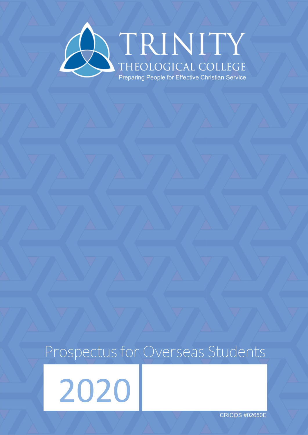

# Prospectus for Overseas Students

2020

**CRICOS #02650E**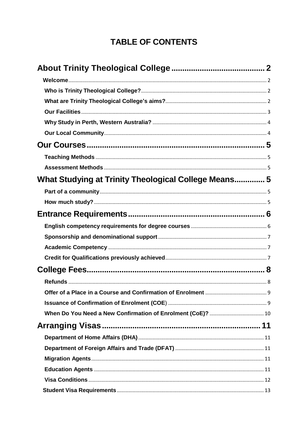# **TABLE OF CONTENTS**

| What Studying at Trinity Theological College Means 5 |  |
|------------------------------------------------------|--|
|                                                      |  |
|                                                      |  |
|                                                      |  |
|                                                      |  |
|                                                      |  |
|                                                      |  |
|                                                      |  |
|                                                      |  |
|                                                      |  |
|                                                      |  |
|                                                      |  |
|                                                      |  |
|                                                      |  |
|                                                      |  |
|                                                      |  |
|                                                      |  |
|                                                      |  |
|                                                      |  |
|                                                      |  |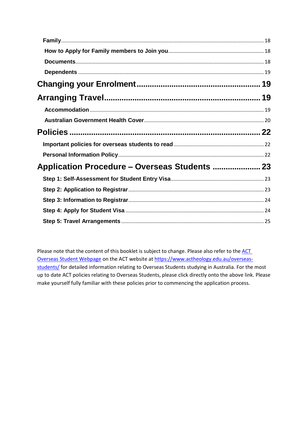Please note that the content of this booklet is subject to change. Please also refer to the ACT [Overseas Student Webpage](https://www.actheology.edu.au/overseas-students/) on the ACT website at [https://www.actheology.edu.au/overseas](https://www.actheology.edu.au/overseas-students/)[students/](https://www.actheology.edu.au/overseas-students/) for detailed information relating to Overseas Students studying in Australia. For the most up to date ACT policies relating to Overseas Students, please click directly onto the above link. Please make yourself fully familiar with these policies prior to commencing the application process.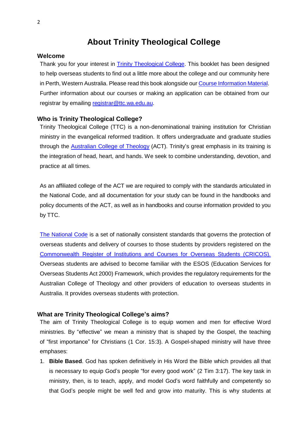# **About Trinity Theological College**

## <span id="page-4-1"></span><span id="page-4-0"></span>**Welcome**

Thank you for your interest in **Trinity Theological College**. This booklet has been designed to help overseas students to find out a little more about the college and our community here in Perth, Western Australia. Please read this book alongside our Course [Information](https://www.ttc.wa.edu.au/3-year-courses/) Material. Further information about our courses or making an application can be obtained from our registrar by emailing [registrar@ttc.wa.edu.au.](mailto:registrar@ttc.wa.edu.au)

#### <span id="page-4-2"></span>**Who is Trinity Theological College?**

Trinity Theological College (TTC) is a non-denominational training institution for Christian ministry in the evangelical reformed tradition. It offers undergraduate and graduate studies through the **Australian College of Theology** (ACT). Trinity's great emphasis in its training is the integration of head, heart, and hands. We seek to combine understanding, devotion, and practice at all times.

As an affiliated college of the ACT we are required to comply with the standards articulated in the National Code, and all documentation for your study can be found in the handbooks and policy documents of the ACT, as well as in handbooks and course information provided to you by TTC.

[The National Code](https://internationaleducation.gov.au/Regulatory-Information/Pages/National-Code-2018-Factsheets-.aspx) is a set of nationally consistent standards that governs the protection of overseas students and delivery of courses to those students by providers registered on the [Commonwealth Register of Institutions and Courses for Overseas Students \(CRICOS\).](http://cricos.education.gov.au/Course/CourseList.aspx?LocationID=5791) Overseas students are advised to become familiar with the ESOS (Education Services for Overseas Students Act 2000) Framework, which provides the regulatory requirements for the Australian College of Theology and other providers of education to overseas students in Australia. It provides overseas students with protection.

#### <span id="page-4-3"></span>**What are Trinity Theological College's aims?**

The aim of Trinity Theological College is to equip women and men for effective Word ministries. By "effective" we mean a ministry that is shaped by the Gospel, the teaching of "first importance" for Christians (1 Cor. 15:3). A Gospel-shaped ministry will have three emphases:

1. **Bible Based**. God has spoken definitively in His Word the Bible which provides all that is necessary to equip God's people "for every good work" (2 Tim 3:17). The key task in ministry, then, is to teach, apply, and model God's word faithfully and competently so that God's people might be well fed and grow into maturity. This is why students at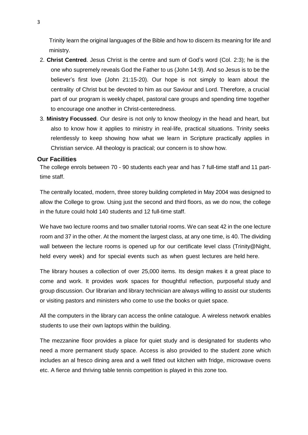Trinity learn the original languages of the Bible and how to discern its meaning for life and ministry.

- 2. **Christ Centred**. Jesus Christ is the centre and sum of God's word (Col. 2:3); he is the one who supremely reveals God the Father to us (John 14:9). And so Jesus is to be the believer's first love (John 21:15-20). Our hope is not simply to learn about the centrality of Christ but be devoted to him as our Saviour and Lord. Therefore, a crucial part of our program is weekly chapel, pastoral care groups and spending time together to encourage one another in Christ-centeredness.
- 3. **Ministry Focussed**. Our desire is not only to know theology in the head and heart, but also to know how it applies to ministry in real-life, practical situations. Trinity seeks relentlessly to keep showing how what we learn in Scripture practically applies in Christian service. All theology is practical; our concern is to show how.

#### <span id="page-5-0"></span>**Our Facilities**

The college enrols between 70 - 90 students each year and has 7 full-time staff and 11 parttime staff.

The centrally located, modern, three storey building completed in May 2004 was designed to allow the College to grow. Using just the second and third floors, as we do now, the college in the future could hold 140 students and 12 full-time staff.

We have two lecture rooms and two smaller tutorial rooms. We can seat 42 in the one lecture room and 37 in the other. At the moment the largest class, at any one time, is 40. The dividing wall between the lecture rooms is opened up for our certificate level class (Trinity@Night, held every week) and for special events such as when guest lectures are held here.

The library houses a collection of over 25,000 items. Its design makes it a great place to come and work. It provides work spaces for thoughtful reflection, purposeful study and group discussion. Our librarian and library technician are always willing to assist our students or visiting pastors and ministers who come to use the books or quiet space.

All the computers in the library can access the online catalogue. A wireless network enables students to use their own laptops within the building.

The mezzanine floor provides a place for quiet study and is designated for students who need a more permanent study space. Access is also provided to the student zone which includes an al fresco dining area and a well fitted out kitchen with fridge, microwave ovens etc. A fierce and thriving table tennis competition is played in this zone too.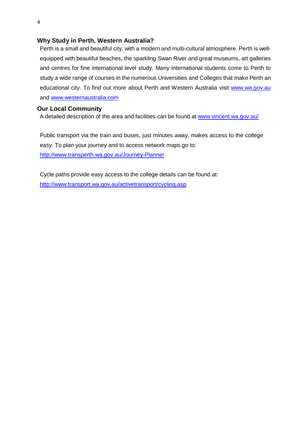## <span id="page-6-0"></span>**Why Study in Perth, Western Australia?**

Perth is a small and beautiful city, with a modern and multi-cultural atmosphere. Perth is wellequipped with beautiful beaches, the sparkling Swan River and great museums, art galleries and centres for fine international level study. Many international students come to Perth to study a wide range of courses in the numerous Universities and Colleges that make Perth an educational city. To find out more about Perth and Western Australia visit [www.wa.gov.au](http://www.wa.gov.au/) and [www.westernaustralia.com](http://www.westernaustralia.com/)

## <span id="page-6-1"></span>**Our Local Community**

A detailed description of the area and facilities can be found at [www.vincent.wa.gov.au/](http://www.vincent.wa.gov.au/)

Public transport via the train and buses, just minutes away, makes access to the college easy. To plan your journey and to access network maps go to: <http://www.transperth.wa.gov.au/Journey-Planner>

Cycle paths provide easy access to the college details can be found at: <http://www.transport.wa.gov.au/activetransport/cycling.asp>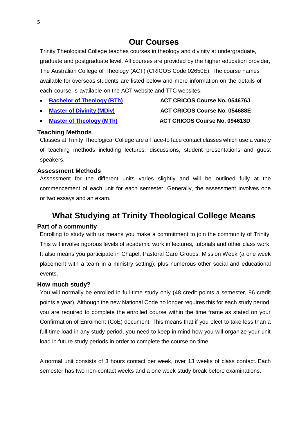## **Our Courses**

<span id="page-7-0"></span>Trinity Theological College teaches courses in theology and divinity at undergraduate, graduate and postgraduate level. All courses are provided by the higher education provider, The Australian College of Theology (ACT) (CRICOS Code 02650E). The course names available for overseas students are listed below and more information on the details of each course is available on the ACT website and TTC websites.

- 
- 
- 

# **Bachelor of [Theology](https://www.actheology.edu.au/course/BTH20/) (BTh) ACT CRICOS Course No. 054676J Master [of Divinity](https://www.actheology.edu.au/course/MDIV20/) (MDiv) ACT CRICOS Course No. 054688E Master [of Theology](https://www.actheology.edu.au/course/MTH20/) (MTh) ACT CRICOS Course No. 094613D**

## <span id="page-7-1"></span>**Teaching Methods**

Classes at Trinity Theological College are all face-to face contact classes which use a variety of teaching methods including lectures, discussions, student presentations and guest speakers.

## <span id="page-7-2"></span>**Assessment Methods**

Assessment for the different units varies slightly and will be outlined fully at the commencement of each unit for each semester. Generally, the assessment involves one or two essays and an exam.

## <span id="page-7-3"></span>**What Studying at Trinity Theological College Means**

## <span id="page-7-4"></span>**Part of a community**

Enrolling to study with us means you make a commitment to join the community of Trinity. This will involve rigorous levels of academic work in lectures, tutorials and other class work. It also means you participate in Chapel, Pastoral Care Groups, Mission Week (a one week placement with a team in a ministry setting), plus numerous other social and educational events.

## <span id="page-7-5"></span>**How much study?**

You will normally be enrolled in full-time study only (48 credit points a semester, 96 credit points a year). Although the new National Code no longer requires this for each study period, you are required to complete the enrolled course within the time frame as stated on your Confirmation of Enrolment (CoE) document. This means that if you elect to take less than a full-time load in any study period, you need to keep in mind how you will organize your unit load in future study periods in order to complete the course on time.

A normal unit consists of 3 hours contact per week, over 13 weeks of class contact. Each semester has two non-contact weeks and a one week study break before examinations.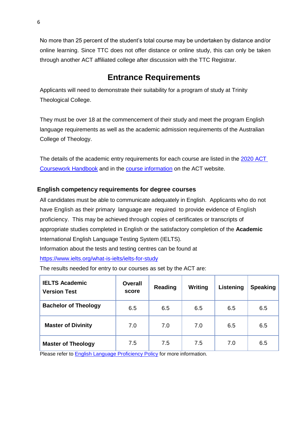No more than 25 percent of the student's total course may be undertaken by distance and/or online learning. Since TTC does not offer distance or online study, this can only be taken through another ACT affiliated college after discussion with the TTC Registrar.

# **Entrance Requirements**

<span id="page-8-0"></span>Applicants will need to demonstrate their suitability for a program of study at Trinity Theological College.

They must be over 18 at the commencement of their study and meet the program English language requirements as well as the academic admission requirements of the Australian College of Theology.

The details of the academic entry requirements for each course are listed in the [2020 ACT](https://myportal.actheology.edu.au/FileDownload/882cf3eb-960e-4ca6-85fb-6ada02397f9d/2020-act-coursework-handbook)  [Coursework Handbook](https://myportal.actheology.edu.au/FileDownload/882cf3eb-960e-4ca6-85fb-6ada02397f9d/2020-act-coursework-handbook) and in the [course information](https://www.actheology.edu.au/our-courses/) on the ACT website.

## <span id="page-8-1"></span>**English competency requirements for degree courses**

All candidates must be able to communicate adequately in English. Applicants who do not have English as their primary language are required to provide evidence of English proficiency. This may be achieved through copies of certificates or transcripts of appropriate studies completed in English or the satisfactory completion of the **Academic** International English Language Testing System (IELTS). Information about the tests and testing centres can be found at <https://www.ielts.org/what-is-ielts/ielts-for-study>

The results needed for entry to our courses as set by the ACT are:

| <b>IELTS Academic</b><br><b>Version Test</b> | <b>Overall</b><br>score | Reading | Writing | Listening | <b>Speaking</b> |
|----------------------------------------------|-------------------------|---------|---------|-----------|-----------------|
| <b>Bachelor of Theology</b>                  | 6.5                     | 6.5     | 6.5     | 6.5       | 6.5             |
| <b>Master of Divinity</b>                    | 7.0                     | 7.0     | 7.0     | 6.5       | 6.5             |
| <b>Master of Theology</b>                    | 7.5                     | 7.5     | 7.5     | 7.0       | 6.5             |

Please refer to **[English Language Proficiency Policy](https://myportal.actheology.edu.au/FileDownload/8d4c11f7-d939-42d6-a0e5-02a69a47eae3/english-language-proficiency-policy)** for more information.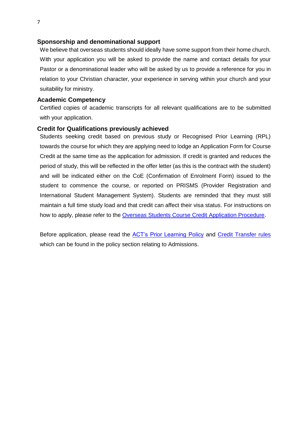## <span id="page-9-0"></span>**Sponsorship and denominational support**

We believe that overseas students should ideally have some support from their home church. With your application you will be asked to provide the name and contact details for your Pastor or a denominational leader who will be asked by us to provide a reference for you in relation to your Christian character, your experience in serving within your church and your suitability for ministry.

## <span id="page-9-1"></span>**Academic Competency**

Certified copies of academic transcripts for all relevant qualifications are to be submitted with your application.

#### <span id="page-9-2"></span>**Credit for Qualifications previously achieved**

Students seeking credit based on previous study or Recognised Prior Learning (RPL) towards the course for which they are applying need to lodge an Application Form for Course Credit at the same time as the application for admission. If credit is granted and reduces the period of study, this will be reflected in the offer letter (as this is the contract with the student) and will be indicated either on the CoE (Confirmation of Enrolment Form) issued to the student to commence the course, or reported on PRISMS (Provider Registration and International Student Management System). Students are reminded that they must still maintain a full time study load and that credit can affect their visa status. For instructions on how to apply, please refer to the [Overseas Students Course Credit Application Procedure.](https://myportal.actheology.edu.au/FileDownload/7a39f754-e489-4905-a398-862890e21890/course-credit-procedure-for-overseas-students)

Before application, please read the **ACT's Prior Learning Policy** and Credit [Transfer rules](https://myportal.actheology.edu.au/FileDownload/67d8339d-d0f8-43fd-8935-c7dd7b4c763a/credit-transfer-rules) which can be found in the policy section relating to Admissions.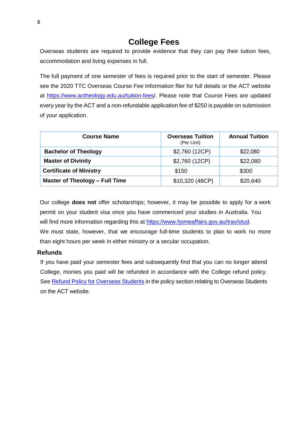# **College Fees**

<span id="page-10-0"></span>Overseas students are required to provide evidence that they can pay their tuition fees, accommodation and living expenses in full.

The full payment of one semester of fees is required prior to the start of semester. Please see the 2020 TTC Overseas Course Fee Information flier for full details or the ACT website at<https://www.actheology.edu.au/tuition-fees/>. Please note that Course Fees are updated every year by the ACT and a non-refundable application fee of \$250 is payable on submission of your application.

| <b>Course Name</b>             | <b>Overseas Tuition</b><br>(Per Unit) | <b>Annual Tuition</b> |
|--------------------------------|---------------------------------------|-----------------------|
| <b>Bachelor of Theology</b>    | \$2,760 (12CP)                        | \$22,080              |
| <b>Master of Divinity</b>      | \$2,760 (12CP)                        | \$22,080              |
| <b>Certificate of Ministry</b> | \$150                                 | \$300                 |
| Master of Theology - Full Time | \$10,320 (48CP)                       | \$20,640              |

Our college **does not** offer scholarships; however, it may be possible to apply for a work permit on your student visa once you have commenced your studies in Australia. You will find more information regarding this at [https://www.homeaffairs.gov.au/trav/stud.](https://www.homeaffairs.gov.au/trav/stud) We must state, however, that we encourage full-time students to plan to work no more than eight hours per week in either ministry or a secular occupation.

## <span id="page-10-1"></span>**Refunds**

If you have paid your semester fees and subsequently find that you can no longer attend College, monies you paid will be refunded in accordance with the College refund policy. See Refund Policy [for Overseas](https://myportal.actheology.edu.au/FileDownload/f3083669-973f-4a3f-831f-95edc01dee88/refund-policy-for-overseas-students) Students in the policy section relating to Overseas Students on the ACT website.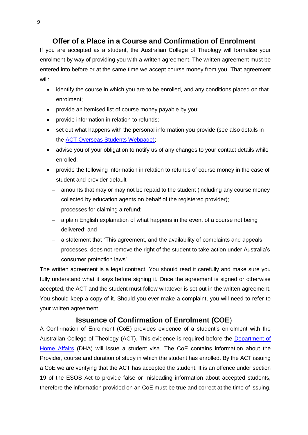## **Offer of a Place in a Course and Confirmation of Enrolment**

<span id="page-11-0"></span>If you are accepted as a student, the Australian College of Theology will formalise your enrolment by way of providing you with a written agreement. The written agreement must be entered into before or at the same time we accept course money from you. That agreement will:

- identify the course in which you are to be enrolled, and any conditions placed on that enrolment;
- provide an itemised list of course money payable by you;
- provide information in relation to refunds;
- set out what happens with the personal information you provide (see also details in the [ACT Overseas Students Webpage\)](https://www.actheology.edu.au/overseas-students/);
- advise you of your obligation to notify us of any changes to your contact details while enrolled;
- provide the following information in relation to refunds of course money in the case of student and provider default
	- amounts that may or may not be repaid to the student (including any course money collected by education agents on behalf of the registered provider);
	- $-$  processes for claiming a refund;
	- a plain English explanation of what happens in the event of a course not being delivered; and
	- a statement that "This agreement, and the availability of complaints and appeals processes, does not remove the right of the student to take action under Australia's consumer protection laws".

The written agreement is a legal contract. You should read it carefully and make sure you fully understand what it says before signing it. Once the agreement is signed or otherwise accepted, the ACT and the student must follow whatever is set out in the written agreement. You should keep a copy of it. Should you ever make a complaint, you will need to refer to your written agreement.

## **Issuance of Confirmation of Enrolment (COE**)

<span id="page-11-1"></span>A Confirmation of Enrolment (CoE) provides evidence of a student's enrolment with the Australian College of Theology (ACT). This evidence is required before the Department of [Home Affairs](https://www.homeaffairs.gov.au/trav/stud) (DHA) will issue a student visa. The CoE contains information about the Provider, course and duration of study in which the student has enrolled. By the ACT issuing a CoE we are verifying that the ACT has accepted the student. It is an offence under section 19 of the ESOS Act to provide false or misleading information about accepted students, therefore the information provided on an CoE must be true and correct at the time of issuing.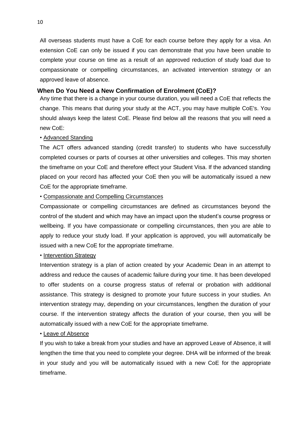All overseas students must have a CoE for each course before they apply for a visa. An extension CoE can only be issued if you can demonstrate that you have been unable to complete your course on time as a result of an approved reduction of study load due to compassionate or compelling circumstances, an activated intervention strategy or an approved leave of absence.

## <span id="page-12-0"></span>**When Do You Need a New Confirmation of Enrolment (CoE)?**

Any time that there is a change in your course duration, you will need a CoE that reflects the change. This means that during your study at the ACT, you may have multiple CoE's. You should always keep the latest CoE. Please find below all the reasons that you will need a new CoE:

## • Advanced Standing

The ACT offers advanced standing (credit transfer) to students who have successfully completed courses or parts of courses at other universities and colleges. This may shorten the timeframe on your CoE and therefore effect your Student Visa. If the advanced standing placed on your record has affected your CoE then you will be automatically issued a new CoE for the appropriate timeframe.

## • Compassionate and Compelling Circumstances

Compassionate or compelling circumstances are defined as circumstances beyond the control of the student and which may have an impact upon the student's course progress or wellbeing. If you have compassionate or compelling circumstances, then you are able to apply to reduce your study load. If your application is approved, you will automatically be issued with a new CoE for the appropriate timeframe.

#### • Intervention Strategy

Intervention strategy is a plan of action created by your Academic Dean in an attempt to address and reduce the causes of academic failure during your time. It has been developed to offer students on a course progress status of referral or probation with additional assistance. This strategy is designed to promote your future success in your studies. An intervention strategy may, depending on your circumstances, lengthen the duration of your course. If the intervention strategy affects the duration of your course, then you will be automatically issued with a new CoE for the appropriate timeframe.

#### • Leave of Absence

If you wish to take a break from your studies and have an approved Leave of Absence, it will lengthen the time that you need to complete your degree. DHA will be informed of the break in your study and you will be automatically issued with a new CoE for the appropriate timeframe.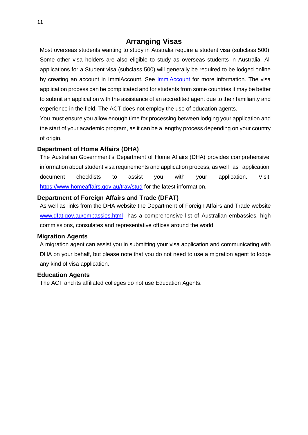## **Arranging Visas**

<span id="page-13-0"></span>Most overseas students wanting to study in Australia require a student visa (subclass 500). Some other visa holders are also eligible to study as overseas students in Australia. All applications for a Student visa (subclass 500) will generally be required to be lodged online by creating an account in [ImmiAccount](https://www.border.gov.au/immiaccount). See ImmiAccount for more information. The visa application process can be complicated and for students from some countries it may be better to submit an application with the assistance of an accredited agent due to their familiarity and experience in the field. The ACT does not employ the use of education agents.

You must ensure you allow enough time for processing between lodging your application and the start of your academic program, as it can be a lengthy process depending on your country of origin.

## <span id="page-13-1"></span>**Department of Home Affairs (DHA)**

The Australian Government's Department of Home Affairs (DHA) provides comprehensive information about student visa requirements and application process, as well as application document checklists to assist you with your application. Visit <https://www.homeaffairs.gov.au/trav/stud> [f](http://www.immi.gov.au/students/index.htm)or the latest information.

## <span id="page-13-2"></span>**Department of Foreign Affairs and Trade (DFAT)**

As well as links from the DHA website the Department of Foreign Affairs and Trade website [www.dfat.gov.au/embassies.html](http://www.dfat.gov.au/embassies.html) has a comprehensive list of Australian embassies, high commissions, consulates and representative offices around the world.

## <span id="page-13-3"></span>**Migration Agents**

A migration agent can assist you in submitting your visa application and communicating with DHA on your behalf, but please note that you do not need to use a migration agent to lodge any kind of visa application.

## <span id="page-13-4"></span>**Education Agents**

The ACT and its affiliated colleges do not use Education Agents.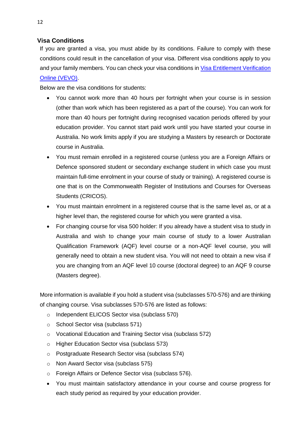## <span id="page-14-0"></span>**Visa Conditions**

If you are granted a visa, you must abide by its conditions. Failure to comply with these conditions could result in the cancellation of your visa. Different visa conditions apply to you and your family members. You can check your visa conditions in [Visa Entitlement Verification](http://www.border.gov.au/Busi/visas-and-migration/visa-entitlement-verification-online-(vevo))  [Online \(VEVO\).](http://www.border.gov.au/Busi/visas-and-migration/visa-entitlement-verification-online-(vevo))

Below are the visa conditions for students:

- You cannot work more than 40 hours per fortnight when your course is in session (other than work which has been registered as a part of the course). You can work for more than 40 hours per fortnight during recognised vacation periods offered by your education provider. You cannot start paid work until you have started your course in Australia. No work limits apply if you are studying a Masters by research or Doctorate course in Australia.
- You must remain enrolled in a registered course (unless you are a Foreign Affairs or Defence sponsored student or secondary exchange student in which case you must maintain full-time enrolment in your course of study or training). A registered course is one that is on the Commonwealth Register of Institutions and Courses for Overseas Students (CRICOS).
- You must maintain enrolment in a registered course that is the same level as, or at a higher level than, the registered course for which you were granted a visa.
- For changing course for visa 500 holder: If you already have a student visa to study in Australia and wish to change your main course of study to a lower Australian Qualification Framework (AQF) level course or a non-AQF level course, you will generally need to obtain a new student visa. You will not need to obtain a new visa if you are changing from an AQF level 10 course (doctoral degree) to an AQF 9 course (Masters degree).

More information is available if you hold a student visa (subclasses 570-576) and are thinking of changing course. Visa subclasses 570-576 are listed as follows:

- o Independent ELICOS Sector visa (subclass 570)
- o School Sector visa (subclass 571)
- o Vocational Education and Training Sector visa (subclass 572)
- o Higher Education Sector visa (subclass 573)
- o Postgraduate Research Sector visa (subclass 574)
- o Non Award Sector visa (subclass 575)
- o Foreign Affairs or Defence Sector visa (subclass 576).
- You must maintain satisfactory attendance in your course and course progress for each study period as required by your education provider.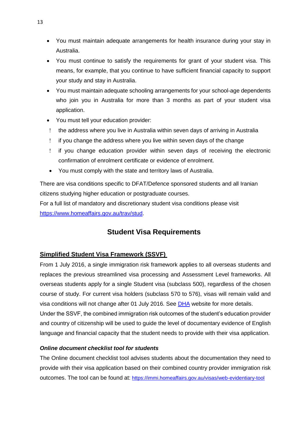- You must maintain adequate arrangements for health insurance during your stay in Australia.
- You must continue to satisfy the requirements for grant of your student visa. This means, for example, that you continue to have sufficient financial capacity to support your study and stay in Australia.
- You must maintain adequate schooling arrangements for your school-age dependents who join you in Australia for more than 3 months as part of your student visa application.
- You must tell your education provider:
- the address where you live in Australia within seven days of arriving in Australia
- if you change the address where you live within seven days of the change
- if you change education provider within seven days of receiving the electronic confirmation of enrolment certificate or evidence of enrolment.
- You must comply with the state and territory laws of Australia.

There are visa conditions specific to DFAT/Defence sponsored students and all Iranian citizens studying higher education or postgraduate courses.

For a full list of mandatory and discretionary student visa conditions please visit [https://www.homeaffairs.gov.au/trav/stud.](https://www.homeaffairs.gov.au/trav/stud)

## **Student Visa Requirements**

## <span id="page-15-0"></span>**Simplified Student Visa Framework (SSVF)**

From 1 July 2016, a single immigration risk framework applies to all overseas students and replaces the previous streamlined visa processing and Assessment Level frameworks. All overseas students apply for a single Student visa (subclass 500), regardless of the chosen course of study. For current visa holders (subclass 570 to 576), visas will remain valid and visa conditions will not change after 01 July 2016. See **DHA** website for more details. Under the SSVF, the combined immigration risk outcomes of the student's education provider and country of citizenship will be used to guide the level of documentary evidence of English language and financial capacity that the student needs to provide with their visa application.

## *Online document checklist tool for students*

The Online document checklist tool advises students about the documentation they need to provide with their visa application based on their combined country provider immigration risk outcomes. The tool can be found at: <https://immi.homeaffairs.gov.au/visas/web-evidentiary-tool>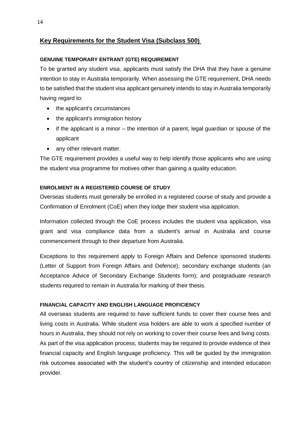## **Key Requirements for the Student Visa (Subclass 500)**

#### **GENUINE TEMPORARY ENTRANT (GTE) REQUIREMENT**

To be granted any student visa, applicants must satisfy the DHA that they have a genuine intention to stay in Australia temporarily. When assessing the GTE requirement, DHA needs to be satisfied that the student visa applicant genuinely intends to stay in Australia temporarily having regard to:

- the applicant's circumstances
- the applicant's immigration history
- if the applicant is a minor the intention of a parent, legal guardian or spouse of the applicant
- any other relevant matter.

The GTE requirement provides a useful way to help identify those applicants who are using the student visa programme for motives other than gaining a quality education.

#### **ENROLMENT IN A REGISTERED COURSE OF STUDY**

Overseas students must generally be enrolled in a registered course of study and provide a Confirmation of Enrolment (CoE) when they lodge their student visa application.

Information collected through the CoE process includes the student visa application, visa grant and visa compliance data from a student's arrival in Australia and course commencement through to their departure from Australia.

Exceptions to this requirement apply to Foreign Affairs and Defence sponsored students (Letter of Support from Foreign Affairs and Defence); secondary exchange students (an Acceptance Advice of Secondary Exchange Students form); and postgraduate research students required to remain in Australia for marking of their thesis.

## **FINANCIAL CAPACITY AND ENGLISH LANGUAGE PROFICIENCY**

All overseas students are required to have sufficient funds to cover their course fees and living costs in Australia. While student visa holders are able to work a specified number of hours in Australia, they should not rely on working to cover their course fees and living costs. As part of the visa application process, students may be required to provide evidence of their financial capacity and English language proficiency. This will be guided by the immigration risk outcomes associated with the student's country of citizenship and intended education provider.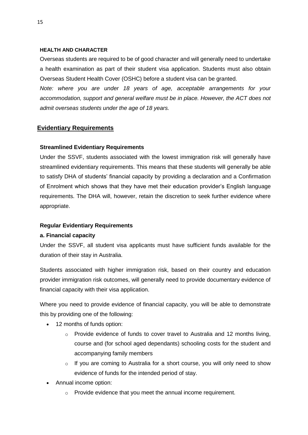#### **HEALTH AND CHARACTER**

Overseas students are required to be of good character and will generally need to undertake a health examination as part of their student visa application. Students must also obtain Overseas Student Health Cover (OSHC) before a student visa can be granted.

*Note: where you are under 18 years of age, acceptable arrangements for your accommodation, support and general welfare must be in place. However, the ACT does not admit overseas students under the age of 18 years.*

## **Evidentiary Requirements**

## **Streamlined Evidentiary Requirements**

Under the SSVF, students associated with the lowest immigration risk will generally have streamlined evidentiary requirements. This means that these students will generally be able to satisfy DHA of students' financial capacity by providing a declaration and a Confirmation of Enrolment which shows that they have met their education provider's English language requirements. The DHA will, however, retain the discretion to seek further evidence where appropriate.

## **Regular Evidentiary Requirements**

## **a. Financial capacity**

Under the SSVF, all student visa applicants must have sufficient funds available for the duration of their stay in Australia.

Students associated with higher immigration risk, based on their country and education provider immigration risk outcomes, will generally need to provide documentary evidence of financial capacity with their visa application.

Where you need to provide evidence of financial capacity, you will be able to demonstrate this by providing one of the following:

- 12 months of funds option:
	- $\circ$  Provide evidence of funds to cover travel to Australia and 12 months living, course and (for school aged dependants) schooling costs for the student and accompanying family members
	- o If you are coming to Australia for a short course, you will only need to show evidence of funds for the intended period of stay.
- Annual income option:
	- o Provide evidence that you meet the annual income requirement.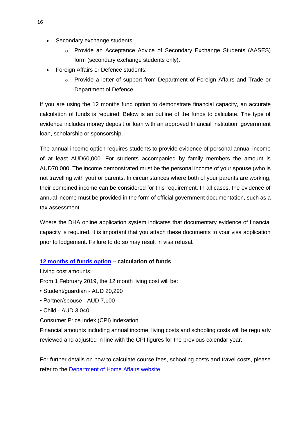- Secondary exchange students:
	- o Provide an Acceptance Advice of Secondary Exchange Students (AASES) form (secondary exchange students only).
- Foreign Affairs or Defence students:
	- $\circ$  Provide a letter of support from Department of Foreign Affairs and Trade or Department of Defence.

If you are using the 12 months fund option to demonstrate financial capacity, an accurate calculation of funds is required. Below is an outline of the funds to calculate. The type of evidence includes money deposit or loan with an approved financial institution, government loan, scholarship or sponsorship.

The annual income option requires students to provide evidence of personal annual income of at least AUD60,000. For students accompanied by family members the amount is AUD70,000. The income demonstrated must be the personal income of your spouse (who is not travelling with you) or parents. In circumstances where both of your parents are working, their combined income can be considered for this requirement. In all cases, the evidence of annual income must be provided in the form of official government documentation, such as a tax assessment.

Where the DHA online application system indicates that documentary evidence of financial capacity is required, it is important that you attach these documents to your visa application prior to lodgement. Failure to do so may result in visa refusal.

## **[12 months of funds option](https://www.seekvisa.com.au/student-visa-funds-calculator/) – calculation of funds**

Living cost amounts:

From 1 February 2019, the 12 month living cost will be:

- Student/guardian AUD 20,290
- Partner/spouse AUD 7,100
- Child AUD 3,040

Consumer Price Index (CPI) indexation

Financial amounts including annual income, living costs and schooling costs will be regularly reviewed and adjusted in line with the CPI figures for the previous calendar year.

For further details on how to calculate course fees, schooling costs and travel costs, please refer to the **Department of Home Affairs website.**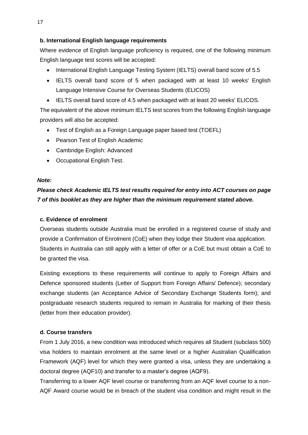## **b. International English language requirements**

Where evidence of English language proficiency is required, one of the following minimum English language test scores will be accepted:

- International English Language Testing System (IELTS) overall band score of 5.5
- IELTS overall band score of 5 when packaged with at least 10 weeks' English Language Intensive Course for Overseas Students (ELICOS)
- IELTS overall band score of 4.5 when packaged with at least 20 weeks' ELICOS.

The equivalent of the above minimum IELTS test scores from the following English language providers will also be accepted:

- Test of English as a Foreign Language paper based test (TOEFL)
- Pearson Test of English Academic
- Cambridge English: Advanced
- Occupational English Test.

## *Note:*

## *Please check Academic IELTS test results required for entry into ACT courses on page 7 of this booklet as they are higher than the minimum requirement stated above.*

## **c. Evidence of enrolment**

Overseas students outside Australia must be enrolled in a registered course of study and provide a Confirmation of Enrolment (CoE) when they lodge their Student visa application. Students in Australia can still apply with a letter of offer or a CoE but must obtain a CoE to be granted the visa.

Existing exceptions to these requirements will continue to apply to Foreign Affairs and Defence sponsored students (Letter of Support from Foreign Affairs/ Defence); secondary exchange students (an Acceptance Advice of Secondary Exchange Students form); and postgraduate research students required to remain in Australia for marking of their thesis (letter from their education provider).

## **d. Course transfers**

From 1 July 2016, a new condition was introduced which requires all Student (subclass 500) visa holders to maintain enrolment at the same level or a higher Australian Qualification Framework (AQF) level for which they were granted a visa, unless they are undertaking a doctoral degree (AQF10) and transfer to a master's degree (AQF9).

Transferring to a lower AQF level course or transferring from an AQF level course to a non-AQF Award course would be in breach of the student visa condition and might result in the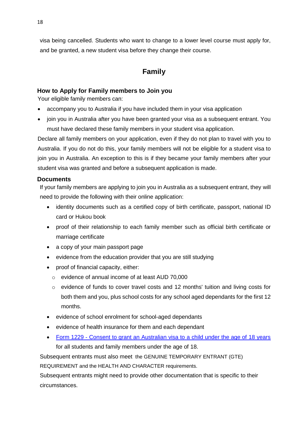visa being cancelled. Students who want to change to a lower level course must apply for, and be granted, a new student visa before they change their course.

## **Family**

## <span id="page-20-1"></span><span id="page-20-0"></span>**How to Apply for Family members to Join you**

Your eligible family members can:

- accompany you to Australia if you have included them in your visa application
- join you in Australia after you have been granted your visa as a subsequent entrant. You must have declared these family members in your student visa application.

Declare all family members on your application, even if they do not plan to travel with you to Australia. If you do not do this, your family members will not be eligible for a student visa to join you in Australia. An exception to this is if they became your family members after your student visa was granted and before a subsequent application is made.

## <span id="page-20-2"></span>**Documents**

If your family members are applying to join you in Australia as a subsequent entrant, they will need to provide the following with their online application:

- identity documents such as a certified copy of birth certificate, passport, national ID card or Hukou book
- proof of their relationship to each family member such as official birth certificate or marriage certificate
- a copy of your main passport page
- evidence from the education provider that you are still studying
- proof of financial capacity, either:
	- o evidence of annual income of at least AUD 70,000
	- $\circ$  evidence of funds to cover travel costs and 12 months' tuition and living costs for both them and you, plus school costs for any school aged dependants for the first 12 months.
- evidence of school enrolment for school-aged dependants
- evidence of health insurance for them and each dependant
- Form 1229 [Consent to grant an Australian visa to a child under the age of 18 years](https://immi.homeaffairs.gov.au/form-listing/forms/1229.pdf) for all students and family members under the age of 18.

Subsequent entrants must also meet the GENUINE TEMPORARY ENTRANT (GTE)

REQUIREMENT and the HEALTH AND CHARACTER requirements.

Subsequent entrants might need to provide other documentation that is specific to their circumstances.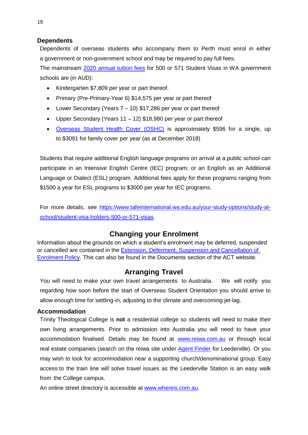## <span id="page-21-0"></span>**Dependents**

Dependents of overseas students who accompany them to Perth must enrol in either a government or non-government school and may be required to pay full fees.

The mainstream [2020 annual tuition fees](https://www.tafeinternational.wa.edu.au/your-study-options/study-at-school/school-tuition-fees) for 500 or 571 Student Visas in WA government schools are (in AUD):

- Kindergarten \$7,809 per year or part thereof.
- Primary (Pre-Primary-Year 6) \$14,575 per year or part thereof
- Lower Secondary (Years 7 10) \$17,286 per year or part thereof
- Upper Secondary (Years 11 12) \$18,980 per year or part thereof
- [Overseas](https://www.tafeinternational.wa.edu.au/help-and-advice/health-cover) Student Health Cover (OSHC) is approximately \$596 for a single, up to \$3091 for family cover per year (as at December 2018)

Students that require additional English language programs on arrival at a public school can participate in an Intensive English Centre (IEC) program; or an English as an Additional Language or Dialect (ESL) program. Additional fees apply for these programs ranging from \$1500 a year for ESL programs to \$3000 per year for IEC programs.

For more details, see [https://www.tafeinternational.wa.edu.au/your-study-options/study-at](https://www.tafeinternational.wa.edu.au/your-study-options/study-at-school/student-visa-holders-500-or-571-visas)[school/student-visa-holders-500-or-571-visas.](https://www.tafeinternational.wa.edu.au/your-study-options/study-at-school/student-visa-holders-500-or-571-visas)

## **Changing your Enrolment**

<span id="page-21-1"></span>Information about the grounds on which a student's enrolment may be deferred, suspended or cancelled are contained in the [Extension, Deferment, Suspension and](https://myportal.actheology.edu.au/FileDownload/ebe214a0-b57d-4806-9ea8-d5f839ebaae0/overseas-student-extension-deferment-suspension-and-cancellation-policy) Cancellation of [Enrolment Policy.](https://myportal.actheology.edu.au/FileDownload/ebe214a0-b57d-4806-9ea8-d5f839ebaae0/overseas-student-extension-deferment-suspension-and-cancellation-policy) This can also be found in the Documents section of the ACT website.

## **Arranging Travel**

<span id="page-21-2"></span>You will need to make your own travel arrangements to Australia. We will notify you regarding how soon before the start of Overseas Student Orientation you should arrive to allow enough time for settling-in, adjusting to the climate and overcoming jet-lag.

## <span id="page-21-3"></span>**Accommodation**

Trinity Theological College is **not** a residential college so students will need to make their own living arrangements. Prior to admission into Australia you will need to have your accommodation finalised. Details may be found at [www.reiwa.com.au](http://www.reiwa.com.au/) or through local real estate companies (search on the reiwa site under Agent [Finder](https://reiwa.com.au/agent-finder/) for Leederville). Or you may wish to look for accommodation near a supporting church/denominational group. Easy access to the train line will solve travel issues as the Leederville Station is an easy walk from the College campus.

An online street directory is accessible at [www.whereis.com.au.](http://www.whereis.com.au/)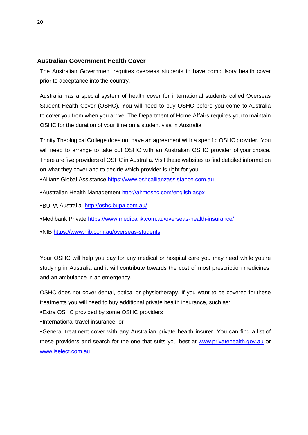## <span id="page-22-0"></span>**Australian Government Health Cover**

The Australian Government requires overseas students to have compulsory health cover prior to acceptance into the country.

Australia has a special system of health cover for international students called Overseas Student Health Cover (OSHC). You will need to buy OSHC before you come to Australia to cover you from when you arrive. The Department of Home Affairs requires you to maintain OSHC for the duration of your time on a student visa in Australia.

Trinity Theological College does not have an agreement with a specific OSHC provider. You will need to arrange to take out OSHC with an Australian OSHC provider of your choice. There are five providers of OSHC in Australia. Visit these websites to find detailed information on what they cover and to decide which provider is right for you.

- Allianz Global Assistance [https://www.oshcallianzassistance.com.au](https://www.oshcallianzassistance.com.au/)
- •Australian Health Management<http://ahmoshc.com/english.aspx>
- •BUPA Australia <http://oshc.bupa.com.au/>
- •Medibank Private<https://www.medibank.com.au/overseas-health-insurance/>
- •NIB<https://www.nib.com.au/overseas-students>

Your OSHC will help you pay for any medical or hospital care you may need while you're studying in Australia and it will contribute towards the cost of most prescription medicines, and an ambulance in an emergency.

OSHC does not cover dental, optical or physiotherapy. If you want to be covered for these treatments you will need to buy additional private health insurance, such as:

•Extra OSHC provided by some OSHC providers

•International travel insurance, or

•General treatment cover with any Australian private health insurer. You can find a list of these providers and search for the one that suits you best at [www.privatehealth.gov.au](http://www.privatehealth.gov.au/) or [www.iselect.com.au](http://www.iselect.com.au/)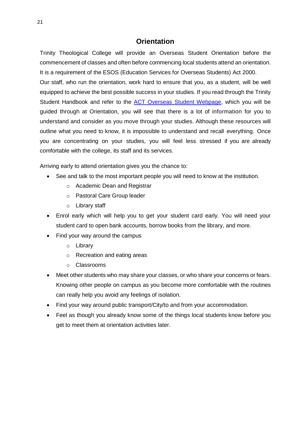## **Orientation**

Trinity Theological College will provide an Overseas Student Orientation before the commencement of classes and often before commencing local students attend an orientation. It is a requirement of the ESOS (Education Services for Overseas Students) Act 2000.

Our staff, who run the orientation, work hard to ensure that you, as a student, will be well equipped to achieve the best possible success in your studies. If you read through the Trinity Student Handbook and refer to the [ACT Overseas Student Webpage,](https://www.actheology.edu.au/overseas-students/) which you will be guided through at Orientation, you will see that there is a lot of information for you to understand and consider as you move through your studies. Although these resources will outline what you need to know, it is impossible to understand and recall everything. Once you are concentrating on your studies, you will feel less stressed if you are already comfortable with the college, its staff and its services.

Arriving early to attend orientation gives you the chance to:

- See and talk to the most important people you will need to know at the institution.
	- o Academic Dean and Registrar
	- o Pastoral Care Group leader
	- o Library staff
- Enrol early which will help you to get your student card early. You will need your student card to open bank accounts, borrow books from the library, and more.
- Find your way around the campus
	- o Library
	- o Recreation and eating areas
	- o Classrooms
- Meet other students who may share your classes, or who share your concerns or fears. Knowing other people on campus as you become more comfortable with the routines can really help you avoid any feelings of isolation.
- Find your way around public transport/City/to and from your accommodation.
- Feel as though you already know some of the things local students know before you get to meet them at orientation activities later.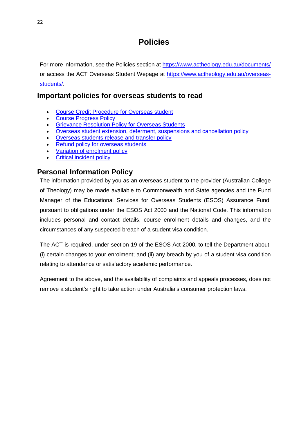# **Policies**

<span id="page-24-0"></span>For more information, see the Policies section at<https://www.actheology.edu.au/documents/> or access the ACT Overseas Student Wepage at [https://www.actheology.edu.au/overseas](https://www.actheology.edu.au/overseas-students/)[students/.](https://www.actheology.edu.au/overseas-students/)

## <span id="page-24-1"></span>**Important policies for overseas students to read**

- [Course Credit Procedure for Overseas student](https://myportal.actheology.edu.au/FileDownload/7a39f754-e489-4905-a398-862890e21890/course-credit-procedure-for-overseas-students)
- [Course Progress Policy](https://myportal.actheology.edu.au/FileDownload/e80f8666-d786-449a-be8e-36bf40fa32eb/course-progress-policy)
- [Grievance Resolution Policy for Overseas Students](https://myportal.actheology.edu.au/FileDownload/11873629-e799-4d83-a48e-b895cebba982/grievance-resolution-policy-for-overseas-students)
- [Overseas student extension, deferment, suspensions and cancellation policy](https://myportal.actheology.edu.au/FileDownload/ebe214a0-b57d-4806-9ea8-d5f839ebaae0/overseas-student-extension-deferment-suspension-and-cancellation-policy)
- [Overseas students release and transfer policy](https://myportal.actheology.edu.au/FileDownload/541bc76f-8bde-4cfb-8857-caa6aaaf7bb4/overseas-students-release-and-transfer-policy)
- [Refund policy for overseas students](https://myportal.actheology.edu.au/FileDownload/f3083669-973f-4a3f-831f-95edc01dee88/refund-policy-for-overseas-students)
- [Variation of enrolment policy](https://myportal.actheology.edu.au/FileDownload/5ba597d5-1e7f-4bae-bd2a-101f41a0e0d3/variation-of-enrolment-policy)
- [Critical incident policy](https://myportal.actheology.edu.au/FileDownload/d55cc7e5-ffd3-4724-932b-9f215597f78c/critical-incident-policy)

## <span id="page-24-2"></span>**Personal Information Policy**

The information provided by you as an overseas student to the provider (Australian College of Theology) may be made available to Commonwealth and State agencies and the Fund Manager of the Educational Services for Overseas Students (ESOS) Assurance Fund, pursuant to obligations under the ESOS Act 2000 and the National Code. This information includes personal and contact details, course enrolment details and changes, and the circumstances of any suspected breach of a student visa condition.

The ACT is required, under section 19 of the ESOS Act 2000, to tell the Department about: (i) certain changes to your enrolment; and (ii) any breach by you of a student visa condition relating to attendance or satisfactory academic performance.

Agreement to the above, and the availability of complaints and appeals processes, does not remove a student's right to take action under Australia's consumer protection laws.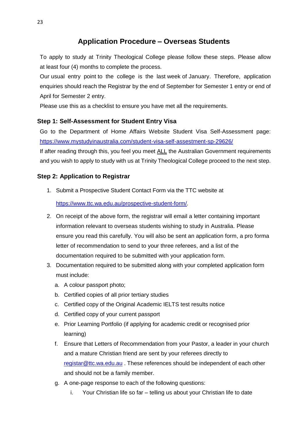## **Application Procedure – Overseas Students**

<span id="page-25-0"></span>To apply to study at Trinity Theological College please follow these steps. Please allow at least four (4) months to complete the process.

Our usual entry point to the college is the last week of January. Therefore, application enquiries should reach the Registrar by the end of September for Semester 1 entry or end of April for Semester 2 entry.

Please use this as a checklist to ensure you have met all the requirements.

## <span id="page-25-1"></span>**Step 1: Self-Assessment for Student Entry Visa**

Go to the Department of Home Affairs Website Student Visa Self-Assessment page: <https://www.mystudyinaustralia.com/student-visa-self-assestment-sp-29626/>

If after reading through this, you feel you meet ALL the Australian Government requirements and you wish to apply to study with us at Trinity Theological College proceed to the next step.

## <span id="page-25-2"></span>**Step 2: Application to Registrar**

1. Submit a Prospective Student Contact Form via the TTC website at

[https://www.ttc.wa.edu.au/prospective-student-form/.](https://www.ttc.wa.edu.au/prospective-student-form/)

- 2. On receipt of the above form, the registrar will email a letter containing important information relevant to overseas students wishing to study in Australia. Please ensure you read this carefully. You will also be sent an application form, a pro forma letter of recommendation to send to your three referees, and a list of the documentation required to be submitted with your application form.
- 3. Documentation required to be submitted along with your completed application form must include:
	- a. A colour passport photo;
	- b. Certified copies of all prior tertiary studies
	- c. Certified copy of the Original Academic IELTS test results notice
	- d. Certified copy of your current passport
	- e. Prior Learning Portfolio (if applying for academic credit or recognised prior learning)
	- f. Ensure that Letters of Recommendation from your Pastor, a leader in your church and a mature Christian friend are sent by your referees directly to [registar@ttc.wa.edu.au](mailto:registar@ttc.wa.edu.au). These references should be independent of each other and should not be a family member.
	- g. A one-page response to each of the following questions:
		- i. Your Christian life so far telling us about your Christian life to date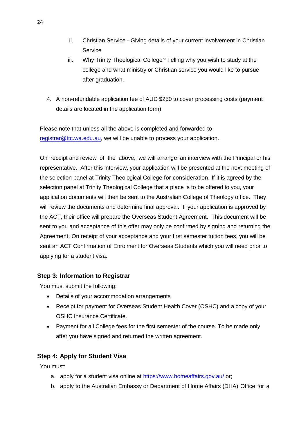- ii. Christian Service Giving details of your current involvement in Christian **Service**
- iii. Why Trinity Theological College? Telling why you wish to study at the college and what ministry or Christian service you would like to pursue after graduation.
- 4. A non-refundable application fee of AUD \$250 to cover processing costs (payment details are located in the application form)

Please note that unless all the above is completed and forwarded to [registrar@ttc.wa.edu.au,](mailto:registrar@ttc.wa.edu.au) we will be unable to process your application.

On receipt and review of the above, we will arrange an interview with the Principal or his representative. After this interview, your application will be presented at the next meeting of the selection panel at Trinity Theological College for consideration. If it is agreed by the selection panel at Trinity Theological College that a place is to be offered to you, your application documents will then be sent to the Australian College of Theology office. They will review the documents and determine final approval. If your application is approved by the ACT, their office will prepare the Overseas Student Agreement. This document will be sent to you and acceptance of this offer may only be confirmed by signing and returning the Agreement. On receipt of your acceptance and your first semester tuition fees, you will be sent an ACT Confirmation of Enrolment for Overseas Students which you will need prior to applying for a student visa.

## <span id="page-26-0"></span>**Step 3: Information to Registrar**

You must submit the following:

- Details of your accommodation arrangements
- Receipt for payment for Overseas Student Health Cover (OSHC) and a copy of your OSHC Insurance Certificate.
- Payment for all College fees for the first semester of the course. To be made only after you have signed and returned the written agreement.

## <span id="page-26-1"></span>**Step 4: Apply for Student Visa**

You must:

- a. apply for a student visa online at<https://www.homeaffairs.gov.au/> or;
- b. apply to the Australian Embassy or Department of Home Affairs (DHA) Office for a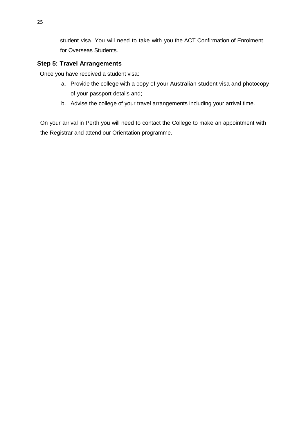student visa. You will need to take with you the ACT Confirmation of Enrolment for Overseas Students.

## <span id="page-27-0"></span>**Step 5: Travel Arrangements**

Once you have received a student visa:

- a. Provide the college with a copy of your Australian student visa and photocopy of your passport details and;
- b. Advise the college of your travel arrangements including your arrival time.

On your arrival in Perth you will need to contact the College to make an appointment with the Registrar and attend our Orientation programme.